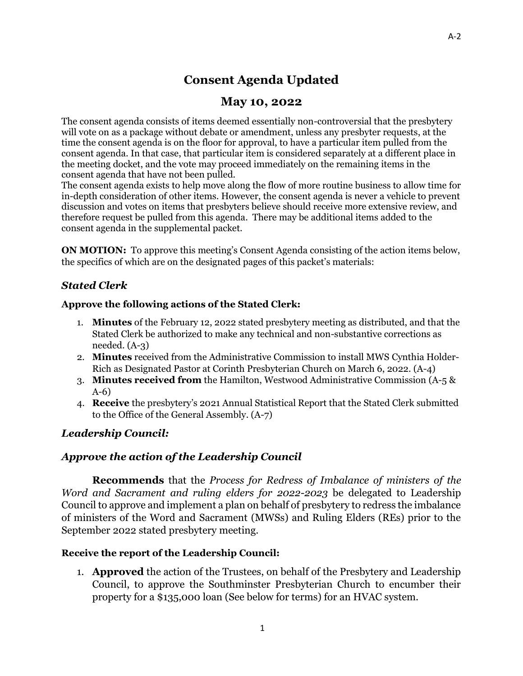# **Consent Agenda Updated**

## **May 10, 2022**

The consent agenda consists of items deemed essentially non-controversial that the presbytery will vote on as a package without debate or amendment, unless any presbyter requests, at the time the consent agenda is on the floor for approval, to have a particular item pulled from the consent agenda. In that case, that particular item is considered separately at a different place in the meeting docket, and the vote may proceed immediately on the remaining items in the consent agenda that have not been pulled.

The consent agenda exists to help move along the flow of more routine business to allow time for in-depth consideration of other items. However, the consent agenda is never a vehicle to prevent discussion and votes on items that presbyters believe should receive more extensive review, and therefore request be pulled from this agenda. There may be additional items added to the consent agenda in the supplemental packet.

**ON MOTION:** To approve this meeting's Consent Agenda consisting of the action items below, the specifics of which are on the designated pages of this packet's materials:

## *Stated Clerk*

#### **Approve the following actions of the Stated Clerk:**

- 1. **Minutes** of the February 12, 2022 stated presbytery meeting as distributed, and that the Stated Clerk be authorized to make any technical and non-substantive corrections as needed. (A-3)
- 2. **Minutes** received from the Administrative Commission to install MWS Cynthia Holder-Rich as Designated Pastor at Corinth Presbyterian Church on March 6, 2022. (A-4)
- 3. **Minutes received from** the Hamilton, Westwood Administrative Commission (A-5 & A-6)
- 4. **Receive** the presbytery's 2021 Annual Statistical Report that the Stated Clerk submitted to the Office of the General Assembly. (A-7)

## *Leadership Council:*

#### *Approve the action of the Leadership Council*

**Recommends** that the *Process for Redress of Imbalance of ministers of the Word and Sacrament and ruling elders for 2022-2023* be delegated to Leadership Council to approve and implement a plan on behalf of presbytery to redress the imbalance of ministers of the Word and Sacrament (MWSs) and Ruling Elders (REs) prior to the September 2022 stated presbytery meeting.

#### **Receive the report of the Leadership Council:**

1. **Approved** the action of the Trustees, on behalf of the Presbytery and Leadership Council, to approve the Southminster Presbyterian Church to encumber their property for a \$135,000 loan (See below for terms) for an HVAC system.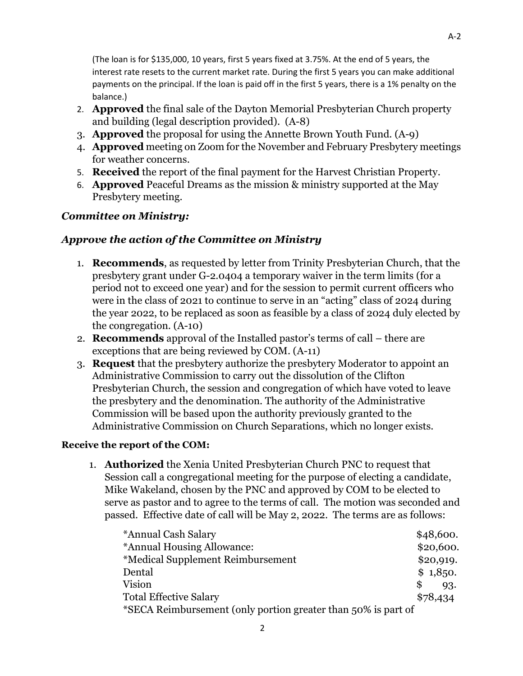(The loan is for \$135,000, 10 years, first 5 years fixed at 3.75%. At the end of 5 years, the interest rate resets to the current market rate. During the first 5 years you can make additional payments on the principal. If the loan is paid off in the first 5 years, there is a 1% penalty on the balance.)

- 2. **Approved** the final sale of the Dayton Memorial Presbyterian Church property and building (legal description provided). (A-8)
- 3. **Approved** the proposal for using the Annette Brown Youth Fund. (A-9)
- 4. **Approved** meeting on Zoom for the November and February Presbytery meetings for weather concerns.
- 5. **Received** the report of the final payment for the Harvest Christian Property.
- 6. **Approved** Peaceful Dreams as the mission & ministry supported at the May Presbytery meeting.

## *Committee on Ministry:*

## *Approve the action of the Committee on Ministry*

- 1. **Recommends**, as requested by letter from Trinity Presbyterian Church, that the presbytery grant under G-2.0404 a temporary waiver in the term limits (for a period not to exceed one year) and for the session to permit current officers who were in the class of 2021 to continue to serve in an "acting" class of 2024 during the year 2022, to be replaced as soon as feasible by a class of 2024 duly elected by the congregation. (A-10)
- 2. **Recommends** approval of the Installed pastor's terms of call there are exceptions that are being reviewed by COM. (A-11)
- 3. **Request** that the presbytery authorize the presbytery Moderator to appoint an Administrative Commission to carry out the dissolution of the Clifton Presbyterian Church, the session and congregation of which have voted to leave the presbytery and the denomination. The authority of the Administrative Commission will be based upon the authority previously granted to the Administrative Commission on Church Separations, which no longer exists.

#### **Receive the report of the COM:**

1. **Authorized** the Xenia United Presbyterian Church PNC to request that Session call a congregational meeting for the purpose of electing a candidate, Mike Wakeland, chosen by the PNC and approved by COM to be elected to serve as pastor and to agree to the terms of call. The motion was seconded and passed. Effective date of call will be May 2, 2022. The terms are as follows:

| *Annual Cash Salary                                           | \$48,600. |  |
|---------------------------------------------------------------|-----------|--|
| *Annual Housing Allowance:                                    | \$20,600. |  |
| *Medical Supplement Reimbursement                             | \$20,919. |  |
| Dental                                                        | \$1,850.  |  |
| <b>Vision</b>                                                 | S<br>93.  |  |
| <b>Total Effective Salary</b>                                 | \$78,434  |  |
| *SECA Reimbursement (only portion greater than 50% is part of |           |  |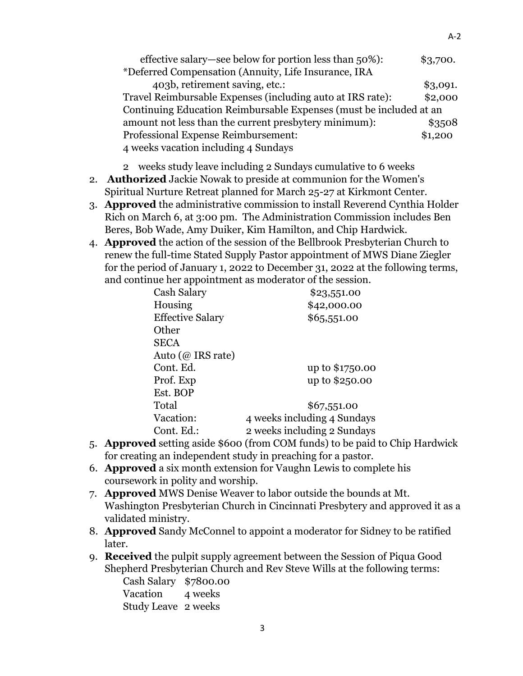| effective salary—see below for portion less than 50%):             | \$3,700. |
|--------------------------------------------------------------------|----------|
| *Deferred Compensation (Annuity, Life Insurance, IRA               |          |
| 403b, retirement saving, etc.:                                     | \$3,091. |
| Travel Reimbursable Expenses (including auto at IRS rate):         | \$2,000  |
| Continuing Education Reimbursable Expenses (must be included at an |          |
| amount not less than the current presbytery minimum):              | \$3508   |
| Professional Expense Reimbursement:                                | \$1,200  |
| 4 weeks vacation including 4 Sundays                               |          |

2 weeks study leave including 2 Sundays cumulative to 6 weeks

- 2. **Authorized** Jackie Nowak to preside at communion for the Women's Spiritual Nurture Retreat planned for March 25-27 at Kirkmont Center.
- 3. **Approved** the administrative commission to install Reverend Cynthia Holder Rich on March 6, at 3:00 pm. The Administration Commission includes Ben Beres, Bob Wade, Amy Duiker, Kim Hamilton, and Chip Hardwick.
- 4. **Approved** the action of the session of the Bellbrook Presbyterian Church to renew the full-time Stated Supply Pastor appointment of MWS Diane Ziegler for the period of January 1, 2022 to December 31, 2022 at the following terms, and continue her appointment as moderator of the session.

| Cash Salary             | \$23,551.00                 |
|-------------------------|-----------------------------|
| Housing                 | \$42,000.00                 |
| <b>Effective Salary</b> | \$65,551.00                 |
| Other                   |                             |
| <b>SECA</b>             |                             |
| Auto ( $@$ IRS rate)    |                             |
| Cont. Ed.               | up to \$1750.00             |
| Prof. Exp               | up to \$250.00              |
| Est. BOP                |                             |
| Total                   | \$67,551.00                 |
| Vacation:               | 4 weeks including 4 Sundays |
| Cont. Ed.:              | 2 weeks including 2 Sundays |
|                         |                             |

- 5. **Approved** setting aside \$600 (from COM funds) to be paid to Chip Hardwick for creating an independent study in preaching for a pastor.
- 6. **Approved** a six month extension for Vaughn Lewis to complete his coursework in polity and worship.
- 7. **Approved** MWS Denise Weaver to labor outside the bounds at Mt. Washington Presbyterian Church in Cincinnati Presbytery and approved it as a validated ministry.
- 8. **Approved** Sandy McConnel to appoint a moderator for Sidney to be ratified later.
- 9. **Received** the pulpit supply agreement between the Session of Piqua Good Shepherd Presbyterian Church and Rev Steve Wills at the following terms:

| Cash Salary \$7800.00 |         |
|-----------------------|---------|
| Vacation              | 4 weeks |
| Study Leave 2 weeks   |         |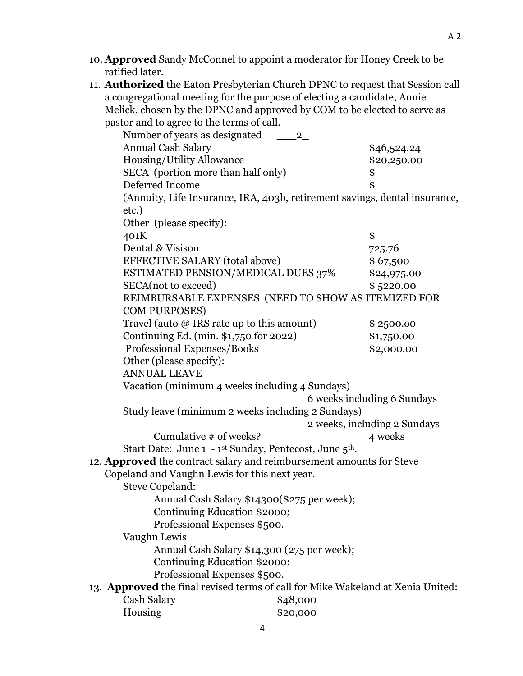- 10. **Approved** Sandy McConnel to appoint a moderator for Honey Creek to be ratified later.
- 11. **Authorized** the Eaton Presbyterian Church DPNC to request that Session call a congregational meeting for the purpose of electing a candidate, Annie Melick, chosen by the DPNC and approved by COM to be elected to serve as pastor and to agree to the terms of call.

| pastor and to agree to the terms of ean.                                        |                                                                                |                              |
|---------------------------------------------------------------------------------|--------------------------------------------------------------------------------|------------------------------|
| Number of years as designated                                                   | $\mathbf{2}$                                                                   |                              |
| <b>Annual Cash Salary</b>                                                       |                                                                                | \$46,524.24                  |
| Housing/Utility Allowance                                                       |                                                                                | \$20,250.00                  |
| SECA (portion more than half only)                                              |                                                                                | \$                           |
| Deferred Income                                                                 |                                                                                | $\hat{\mathbf{S}}$           |
|                                                                                 | (Annuity, Life Insurance, IRA, 403b, retirement savings, dental insurance,     |                              |
| etc.)                                                                           |                                                                                |                              |
| Other (please specify):                                                         |                                                                                |                              |
| 401K                                                                            |                                                                                | \$                           |
| Dental & Visison                                                                |                                                                                | 725.76                       |
| EFFECTIVE SALARY (total above)                                                  |                                                                                | \$67,500                     |
|                                                                                 | ESTIMATED PENSION/MEDICAL DUES 37%                                             | \$24,975.00                  |
| SECA(not to exceed)                                                             |                                                                                | \$5220.00                    |
|                                                                                 | REIMBURSABLE EXPENSES (NEED TO SHOW AS ITEMIZED FOR                            |                              |
| <b>COM PURPOSES)</b>                                                            |                                                                                |                              |
| Travel (auto $@$ IRS rate up to this amount)                                    |                                                                                | \$2500.00                    |
| Continuing Ed. (min. \$1,750 for 2022)                                          |                                                                                | \$1,750.00                   |
| Professional Expenses/Books                                                     |                                                                                | \$2,000.00                   |
| Other (please specify):                                                         |                                                                                |                              |
| <b>ANNUAL LEAVE</b>                                                             |                                                                                |                              |
|                                                                                 | Vacation (minimum 4 weeks including 4 Sundays)                                 |                              |
|                                                                                 |                                                                                | 6 weeks including 6 Sundays  |
|                                                                                 | Study leave (minimum 2 weeks including 2 Sundays)                              |                              |
|                                                                                 |                                                                                | 2 weeks, including 2 Sundays |
| Cumulative $#$ of weeks?                                                        |                                                                                | 4 weeks                      |
|                                                                                 | Start Date: June 1 - 1 <sup>st</sup> Sunday, Pentecost, June 5 <sup>th</sup> . |                              |
| 12. Approved the contract salary and reimbursement amounts for Steve            |                                                                                |                              |
| Copeland and Vaughn Lewis for this next year.                                   |                                                                                |                              |
| Steve Copeland:                                                                 |                                                                                |                              |
|                                                                                 | Annual Cash Salary \$14300(\$275 per week);                                    |                              |
|                                                                                 | Continuing Education \$2000;                                                   |                              |
| Professional Expenses \$500.                                                    |                                                                                |                              |
| Vaughn Lewis                                                                    |                                                                                |                              |
|                                                                                 | Annual Cash Salary \$14,300 (275 per week);                                    |                              |
|                                                                                 | Continuing Education \$2000;                                                   |                              |
| Professional Expenses \$500.                                                    |                                                                                |                              |
| 13. Approved the final revised terms of call for Mike Wakeland at Xenia United: |                                                                                |                              |
| Cash Salary                                                                     | \$48,000                                                                       |                              |
| Housing                                                                         | \$20,000                                                                       |                              |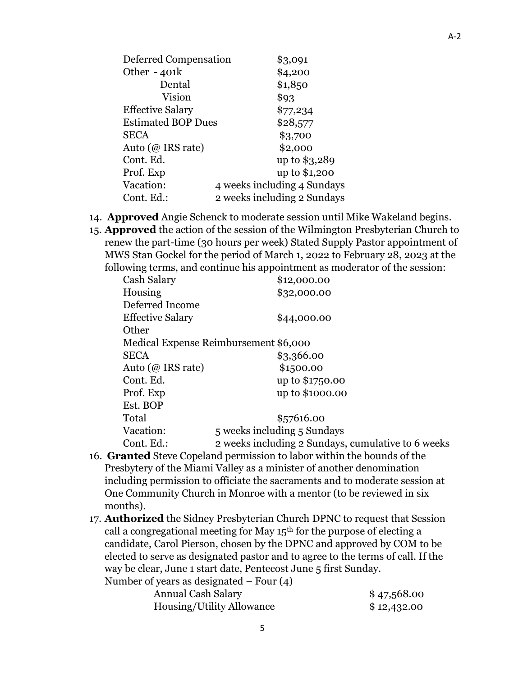| Deferred Compensation     | \$3,091                     |
|---------------------------|-----------------------------|
| Other $-401k$             | \$4,200                     |
| Dental                    | \$1,850                     |
| Vision                    | \$93                        |
| <b>Effective Salary</b>   | \$77,234                    |
| <b>Estimated BOP Dues</b> | \$28,577                    |
| <b>SECA</b>               | \$3,700                     |
| Auto (@ IRS rate)         | \$2,000                     |
| Cont. Ed.                 | up to \$3,289               |
| Prof. Exp                 | up to \$1,200               |
| Vacation:                 | 4 weeks including 4 Sundays |
| Cont. Ed.:                | 2 weeks including 2 Sundays |

- 14. **Approved** Angie Schenck to moderate session until Mike Wakeland begins.
- 15. **Approved** the action of the session of the Wilmington Presbyterian Church to renew the part-time (30 hours per week) Stated Supply Pastor appointment of MWS Stan Gockel for the period of March 1, 2022 to February 28, 2023 at the following terms, and continue his appointment as moderator of the session:

| Cash Salary             | \$12,000.00                                        |
|-------------------------|----------------------------------------------------|
| Housing                 | \$32,000.00                                        |
| Deferred Income         |                                                    |
| <b>Effective Salary</b> | \$44,000.00                                        |
| Other                   |                                                    |
|                         | Medical Expense Reimbursement \$6,000              |
| <b>SECA</b>             | \$3,366.00                                         |
| Auto (@ IRS rate)       | \$1500.00                                          |
| Cont. Ed.               | up to \$1750.00                                    |
| Prof. Exp               | up to \$1000.00                                    |
| Est. BOP                |                                                    |
| Total                   | \$57616.00                                         |
| Vacation:               | 5 weeks including 5 Sundays                        |
| Cont. Ed.:              | 2 weeks including 2 Sundays, cumulative to 6 weeks |

- 16. **Granted** Steve Copeland permission to labor within the bounds of the Presbytery of the Miami Valley as a minister of another denomination including permission to officiate the sacraments and to moderate session at One Community Church in Monroe with a mentor (to be reviewed in six months).
- 17. **Authorized** the Sidney Presbyterian Church DPNC to request that Session call a congregational meeting for May  $15<sup>th</sup>$  for the purpose of electing a candidate, Carol Pierson, chosen by the DPNC and approved by COM to be elected to serve as designated pastor and to agree to the terms of call. If the way be clear, June 1 start date, Pentecost June 5 first Sunday.

Number of years as designated – Four (4) Annual Cash Salary  $$47,568.00$ Housing/Utility Allowance \$ 12,432.00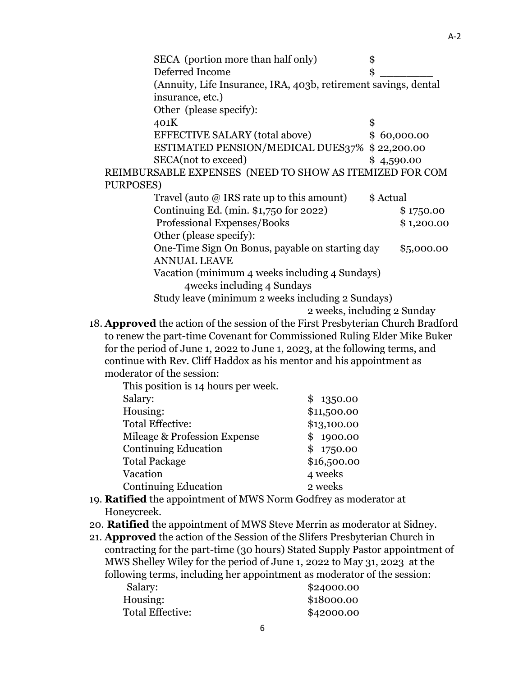| SECA (portion more than half only)                              | \$         |             |
|-----------------------------------------------------------------|------------|-------------|
| Deferred Income                                                 | \$         |             |
| (Annuity, Life Insurance, IRA, 403b, retirement savings, dental |            |             |
| insurance, etc.)                                                |            |             |
| Other (please specify):                                         |            |             |
| 401K                                                            | \$         |             |
| <b>EFFECTIVE SALARY (total above)</b>                           |            | \$60,000.00 |
| ESTIMATED PENSION/MEDICAL DUES37% \$ 22,200.00                  |            |             |
| SECA(not to exceed)                                             | \$4,590.00 |             |
| REIMBURSABLE EXPENSES (NEED TO SHOW AS ITEMIZED FOR COM         |            |             |
| PURPOSES)                                                       |            |             |
| Travel (auto $@$ IRS rate up to this amount)                    | \$ Actual  |             |
| Continuing Ed. (min. \$1,750 for 2022)                          |            | \$1750.00   |
| Professional Expenses/Books                                     |            | \$1,200.00  |
| Other (please specify):                                         |            |             |
| One-Time Sign On Bonus, payable on starting day                 |            | \$5,000.00  |
| <b>ANNUAL LEAVE</b>                                             |            |             |
| Vacation (minimum 4 weeks including 4 Sundays)                  |            |             |
| 4 weeks including 4 Sundays                                     |            |             |
| Study leave (minimum 2 weeks including 2 Sundays)               |            |             |
|                                                                 |            |             |

2 weeks, including 2 Sunday

18. **Approved** the action of the session of the First Presbyterian Church Bradford to renew the part-time Covenant for Commissioned Ruling Elder Mike Buker for the period of June 1, 2022 to June 1, 2023, at the following terms, and continue with Rev. Cliff Haddox as his mentor and his appointment as moderator of the session:

| This position is 14 hours per week. |                |
|-------------------------------------|----------------|
| Salary:                             | \$1350.00      |
| Housing:                            | \$11,500.00    |
| <b>Total Effective:</b>             | \$13,100.00    |
| Mileage & Profession Expense        | 1900.00<br>\$. |
| <b>Continuing Education</b>         | \$1750.00      |
| <b>Total Package</b>                | \$16,500.00    |
| Vacation                            | 4 weeks        |
| <b>Continuing Education</b>         | 2 weeks        |
|                                     |                |

- 19. **Ratified** the appointment of MWS Norm Godfrey as moderator at Honeycreek.
- 20. **Ratified** the appointment of MWS Steve Merrin as moderator at Sidney.
- 21. **Approved** the action of the Session of the Slifers Presbyterian Church in contracting for the part-time (30 hours) Stated Supply Pastor appointment of MWS Shelley Wiley for the period of June 1, 2022 to May 31, 2023 at the following terms, including her appointment as moderator of the session:

| Salary:          | \$24000.00 |
|------------------|------------|
| Housing:         | \$18000.00 |
| Total Effective: | \$42000.00 |